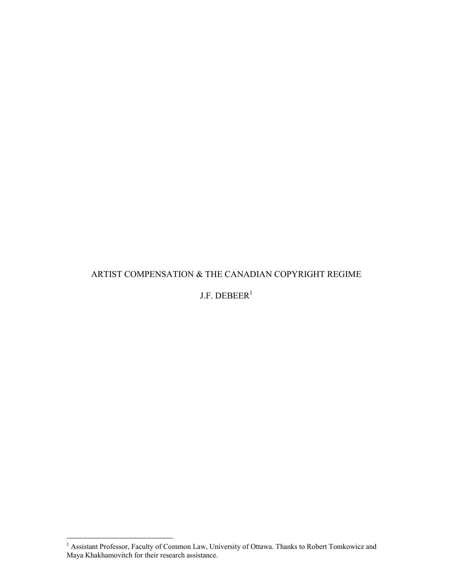J.F. DEBEER $<sup>1</sup>$ </sup>

<sup>&</sup>lt;sup>1</sup> Assistant Professor, Faculty of Common Law, University of Ottawa. Thanks to Robert Tomkowicz and Maya Khakhamovitch for their research assistance.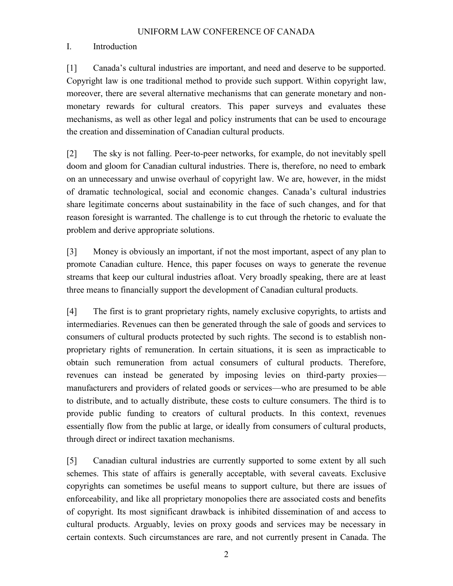## I. Introduction

[1] Canada"s cultural industries are important, and need and deserve to be supported. Copyright law is one traditional method to provide such support. Within copyright law, moreover, there are several alternative mechanisms that can generate monetary and nonmonetary rewards for cultural creators. This paper surveys and evaluates these mechanisms, as well as other legal and policy instruments that can be used to encourage the creation and dissemination of Canadian cultural products.

[2] The sky is not falling. Peer-to-peer networks, for example, do not inevitably spell doom and gloom for Canadian cultural industries. There is, therefore, no need to embark on an unnecessary and unwise overhaul of copyright law. We are, however, in the midst of dramatic technological, social and economic changes. Canada"s cultural industries share legitimate concerns about sustainability in the face of such changes, and for that reason foresight is warranted. The challenge is to cut through the rhetoric to evaluate the problem and derive appropriate solutions.

[3] Money is obviously an important, if not the most important, aspect of any plan to promote Canadian culture. Hence, this paper focuses on ways to generate the revenue streams that keep our cultural industries afloat. Very broadly speaking, there are at least three means to financially support the development of Canadian cultural products.

[4] The first is to grant proprietary rights, namely exclusive copyrights, to artists and intermediaries. Revenues can then be generated through the sale of goods and services to consumers of cultural products protected by such rights. The second is to establish nonproprietary rights of remuneration. In certain situations, it is seen as impracticable to obtain such remuneration from actual consumers of cultural products. Therefore, revenues can instead be generated by imposing levies on third-party proxies manufacturers and providers of related goods or services—who are presumed to be able to distribute, and to actually distribute, these costs to culture consumers. The third is to provide public funding to creators of cultural products. In this context, revenues essentially flow from the public at large, or ideally from consumers of cultural products, through direct or indirect taxation mechanisms.

[5] Canadian cultural industries are currently supported to some extent by all such schemes. This state of affairs is generally acceptable, with several caveats. Exclusive copyrights can sometimes be useful means to support culture, but there are issues of enforceability, and like all proprietary monopolies there are associated costs and benefits of copyright. Its most significant drawback is inhibited dissemination of and access to cultural products. Arguably, levies on proxy goods and services may be necessary in certain contexts. Such circumstances are rare, and not currently present in Canada. The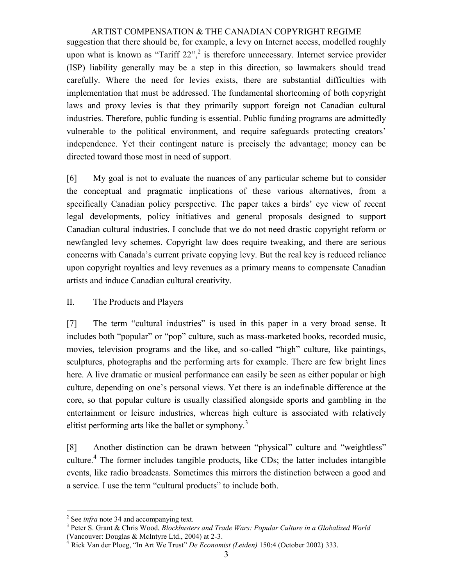# ARTIST COMPENSATION & THE CANADIAN COPYRIGHT REGIME suggestion that there should be, for example, a levy on Internet access, modelled roughly upon what is known as "Tariff  $22$ ", is therefore unnecessary. Internet service provider (ISP) liability generally may be a step in this direction, so lawmakers should tread carefully. Where the need for levies exists, there are substantial difficulties with implementation that must be addressed. The fundamental shortcoming of both copyright laws and proxy levies is that they primarily support foreign not Canadian cultural industries. Therefore, public funding is essential. Public funding programs are admittedly vulnerable to the political environment, and require safeguards protecting creators" independence. Yet their contingent nature is precisely the advantage; money can be directed toward those most in need of support.

[6] My goal is not to evaluate the nuances of any particular scheme but to consider the conceptual and pragmatic implications of these various alternatives, from a specifically Canadian policy perspective. The paper takes a birds' eye view of recent legal developments, policy initiatives and general proposals designed to support Canadian cultural industries. I conclude that we do not need drastic copyright reform or newfangled levy schemes. Copyright law does require tweaking, and there are serious concerns with Canada"s current private copying levy. But the real key is reduced reliance upon copyright royalties and levy revenues as a primary means to compensate Canadian artists and induce Canadian cultural creativity.

## II. The Products and Players

[7] The term "cultural industries" is used in this paper in a very broad sense. It includes both "popular" or "pop" culture, such as mass-marketed books, recorded music, movies, television programs and the like, and so-called "high" culture, like paintings, sculptures, photographs and the performing arts for example. There are few bright lines here. A live dramatic or musical performance can easily be seen as either popular or high culture, depending on one"s personal views. Yet there is an indefinable difference at the core, so that popular culture is usually classified alongside sports and gambling in the entertainment or leisure industries, whereas high culture is associated with relatively elitist performing arts like the ballet or symphony.<sup>3</sup>

[8] Another distinction can be drawn between "physical" culture and "weightless" culture.<sup>4</sup> The former includes tangible products, like CDs; the latter includes intangible events, like radio broadcasts. Sometimes this mirrors the distinction between a good and a service. I use the term "cultural products" to include both.

<sup>&</sup>lt;sup>2</sup> See *infra* note 34 and accompanying text.

<sup>3</sup> Peter S. Grant & Chris Wood, *Blockbusters and Trade Wars: Popular Culture in a Globalized World*  (Vancouver: Douglas & McIntyre Ltd., 2004) at 2-3.

<sup>4</sup> Rick Van der Ploeg, "In Art We Trust" *De Economist (Leiden)* 150:4 (October 2002) 333.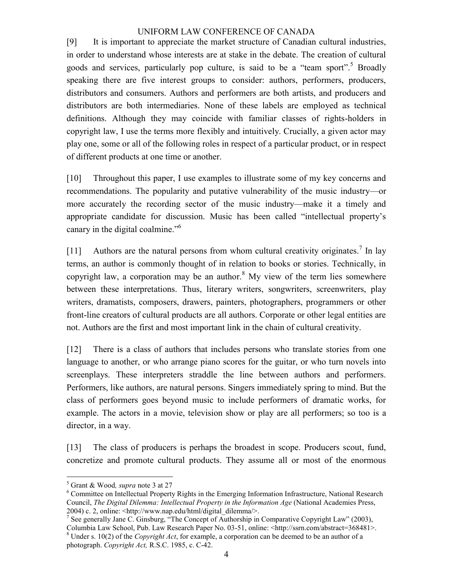[9] It is important to appreciate the market structure of Canadian cultural industries, in order to understand whose interests are at stake in the debate. The creation of cultural goods and services, particularly pop culture, is said to be a "team sport".<sup>5</sup> Broadly speaking there are five interest groups to consider: authors, performers, producers, distributors and consumers. Authors and performers are both artists, and producers and distributors are both intermediaries. None of these labels are employed as technical definitions. Although they may coincide with familiar classes of rights-holders in copyright law, I use the terms more flexibly and intuitively. Crucially, a given actor may play one, some or all of the following roles in respect of a particular product, or in respect of different products at one time or another.

[10] Throughout this paper, I use examples to illustrate some of my key concerns and recommendations. The popularity and putative vulnerability of the music industry—or more accurately the recording sector of the music industry—make it a timely and appropriate candidate for discussion. Music has been called "intellectual property"s canary in the digital coalmine."<sup>6</sup>

[11] Authors are the natural persons from whom cultural creativity originates.<sup>7</sup> In lay terms, an author is commonly thought of in relation to books or stories. Technically, in copyright law, a corporation may be an author. $8$  My view of the term lies somewhere between these interpretations. Thus, literary writers, songwriters, screenwriters, play writers, dramatists, composers, drawers, painters, photographers, programmers or other front-line creators of cultural products are all authors. Corporate or other legal entities are not. Authors are the first and most important link in the chain of cultural creativity.

[12] There is a class of authors that includes persons who translate stories from one language to another, or who arrange piano scores for the guitar, or who turn novels into screenplays. These interpreters straddle the line between authors and performers. Performers, like authors, are natural persons. Singers immediately spring to mind. But the class of performers goes beyond music to include performers of dramatic works, for example. The actors in a movie, television show or play are all performers; so too is a director, in a way.

[13] The class of producers is perhaps the broadest in scope. Producers scout, fund, concretize and promote cultural products. They assume all or most of the enormous

<sup>5</sup> Grant & Wood*, supra* note 3 at 27

<sup>6</sup> Committee on Intellectual Property Rights in the Emerging Information Infrastructure, National Research Council, *The Digital Dilemma: Intellectual Property in the Information Age* (National Academies Press, 2004) c. 2, online: <http://www.nap.edu/html/digital\_dilemma/>.

<sup>&</sup>lt;sup>7</sup> See generally Jane C. Ginsburg, "The Concept of Authorship in Comparative Copyright Law" (2003), Columbia Law School, Pub. Law Research Paper No. 03-51, online: <http://ssrn.com/abstract=368481>.

<sup>8</sup> Under s. 10(2) of the *Copyright Act*, for example, a corporation can be deemed to be an author of a photograph. *Copyright Act,* R.S.C. 1985, c. C-42.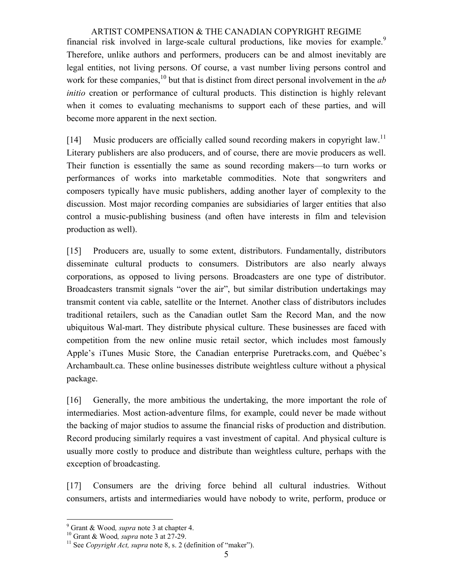ARTIST COMPENSATION & THE CANADIAN COPYRIGHT REGIME financial risk involved in large-scale cultural productions, like movies for example.<sup>9</sup> Therefore, unlike authors and performers, producers can be and almost inevitably are legal entities, not living persons. Of course, a vast number living persons control and work for these companies,<sup>10</sup> but that is distinct from direct personal involvement in the *ab initio* creation or performance of cultural products. This distinction is highly relevant when it comes to evaluating mechanisms to support each of these parties, and will become more apparent in the next section.

[14] Music producers are officially called sound recording makers in copyright law.<sup>11</sup> Literary publishers are also producers, and of course, there are movie producers as well. Their function is essentially the same as sound recording makers—to turn works or performances of works into marketable commodities. Note that songwriters and composers typically have music publishers, adding another layer of complexity to the discussion. Most major recording companies are subsidiaries of larger entities that also control a music-publishing business (and often have interests in film and television production as well).

[15] Producers are, usually to some extent, distributors. Fundamentally, distributors disseminate cultural products to consumers. Distributors are also nearly always corporations, as opposed to living persons. Broadcasters are one type of distributor. Broadcasters transmit signals "over the air", but similar distribution undertakings may transmit content via cable, satellite or the Internet. Another class of distributors includes traditional retailers, such as the Canadian outlet Sam the Record Man, and the now ubiquitous Wal-mart. They distribute physical culture. These businesses are faced with competition from the new online music retail sector, which includes most famously Apple"s iTunes Music Store, the Canadian enterprise Puretracks.com, and Québec"s Archambault.ca. These online businesses distribute weightless culture without a physical package.

[16] Generally, the more ambitious the undertaking, the more important the role of intermediaries. Most action-adventure films, for example, could never be made without the backing of major studios to assume the financial risks of production and distribution. Record producing similarly requires a vast investment of capital. And physical culture is usually more costly to produce and distribute than weightless culture, perhaps with the exception of broadcasting.

[17] Consumers are the driving force behind all cultural industries. Without consumers, artists and intermediaries would have nobody to write, perform, produce or

<sup>9</sup> Grant & Wood*, supra* note 3 at chapter 4.

<sup>10</sup> Grant & Wood*, supra* note 3 at 27-29.

<sup>&</sup>lt;sup>11</sup> See *Copyright Act, supra* note 8, s. 2 (definition of "maker").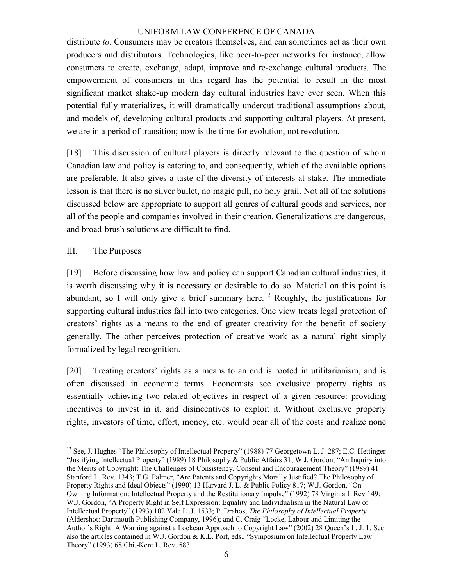distribute *to*. Consumers may be creators themselves, and can sometimes act as their own producers and distributors. Technologies, like peer-to-peer networks for instance, allow consumers to create, exchange, adapt, improve and re-exchange cultural products. The empowerment of consumers in this regard has the potential to result in the most significant market shake-up modern day cultural industries have ever seen. When this potential fully materializes, it will dramatically undercut traditional assumptions about, and models of, developing cultural products and supporting cultural players. At present, we are in a period of transition; now is the time for evolution, not revolution.

[18] This discussion of cultural players is directly relevant to the question of whom Canadian law and policy is catering to, and consequently, which of the available options are preferable. It also gives a taste of the diversity of interests at stake. The immediate lesson is that there is no silver bullet, no magic pill, no holy grail. Not all of the solutions discussed below are appropriate to support all genres of cultural goods and services, nor all of the people and companies involved in their creation. Generalizations are dangerous, and broad-brush solutions are difficult to find.

## III. The Purposes

 $\overline{a}$ 

[19] Before discussing how law and policy can support Canadian cultural industries, it is worth discussing why it is necessary or desirable to do so. Material on this point is abundant, so I will only give a brief summary here.<sup>12</sup> Roughly, the justifications for supporting cultural industries fall into two categories. One view treats legal protection of creators" rights as a means to the end of greater creativity for the benefit of society generally. The other perceives protection of creative work as a natural right simply formalized by legal recognition.

[20] Treating creators' rights as a means to an end is rooted in utilitarianism, and is often discussed in economic terms. Economists see exclusive property rights as essentially achieving two related objectives in respect of a given resource: providing incentives to invest in it, and disincentives to exploit it. Without exclusive property rights, investors of time, effort, money, etc. would bear all of the costs and realize none

<sup>&</sup>lt;sup>12</sup> See, J. Hughes "The Philosophy of Intellectual Property" (1988) 77 Georgetown L. J. 287; E.C. Hettinger "Justifying Intellectual Property" (1989) 18 Philosophy & Public Affairs 31; W.J. Gordon, "An Inquiry into the Merits of Copyright: The Challenges of Consistency, Consent and Encouragement Theory" (1989) 41 Stanford L. Rev. 1343; T.G. Palmer, "Are Patents and Copyrights Morally Justified? The Philosophy of Property Rights and Ideal Objects" (1990) 13 Harvard J. L. & Public Policy 817; W.J. Gordon, "On Owning Information: Intellectual Property and the Restitutionary Impulse" (1992) 78 Virginia L Rev 149; W.J. Gordon, "A Property Right in Self Expression: Equality and Individualism in the Natural Law of Intellectual Property" (1993) 102 Yale L .J. 1533; P. Drahos, *The Philosophy of Intellectual Property* (Aldershot: Dartmouth Publishing Company, 1996); and C. Craig "Locke, Labour and Limiting the Author"s Right: A Warning against a Lockean Approach to Copyright Law" (2002) 28 Queen"s L. J. 1. See also the articles contained in W.J. Gordon & K.L. Port, eds., "Symposium on Intellectual Property Law Theory" (1993) 68 Chi.-Kent L. Rev. 583.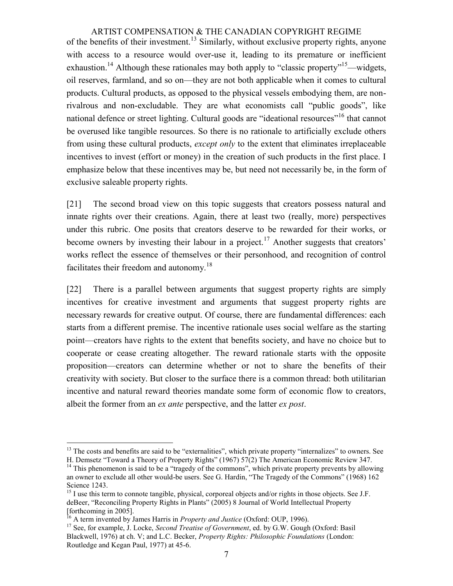ARTIST COMPENSATION & THE CANADIAN COPYRIGHT REGIME of the benefits of their investment.<sup>13</sup> Similarly, without exclusive property rights, anyone with access to a resource would over-use it, leading to its premature or inefficient exhaustion.<sup>14</sup> Although these rationales may both apply to "classic property"<sup>15</sup>—widgets, oil reserves, farmland, and so on—they are not both applicable when it comes to cultural products. Cultural products, as opposed to the physical vessels embodying them, are nonrivalrous and non-excludable. They are what economists call "public goods", like national defence or street lighting. Cultural goods are "ideational resources"<sup>16</sup> that cannot be overused like tangible resources. So there is no rationale to artificially exclude others from using these cultural products, *except only* to the extent that eliminates irreplaceable incentives to invest (effort or money) in the creation of such products in the first place. I emphasize below that these incentives may be, but need not necessarily be, in the form of exclusive saleable property rights.

[21] The second broad view on this topic suggests that creators possess natural and innate rights over their creations. Again, there at least two (really, more) perspectives under this rubric. One posits that creators deserve to be rewarded for their works, or become owners by investing their labour in a project.<sup>17</sup> Another suggests that creators' works reflect the essence of themselves or their personhood, and recognition of control facilitates their freedom and autonomy.<sup>18</sup>

[22] There is a parallel between arguments that suggest property rights are simply incentives for creative investment and arguments that suggest property rights are necessary rewards for creative output. Of course, there are fundamental differences: each starts from a different premise. The incentive rationale uses social welfare as the starting point—creators have rights to the extent that benefits society, and have no choice but to cooperate or cease creating altogether. The reward rationale starts with the opposite proposition—creators can determine whether or not to share the benefits of their creativity with society. But closer to the surface there is a common thread: both utilitarian incentive and natural reward theories mandate some form of economic flow to creators, albeit the former from an *ex ante* perspective, and the latter *ex post*.

<sup>&</sup>lt;sup>13</sup> The costs and benefits are said to be "externalities", which private property "internalizes" to owners. See H. Demsetz "Toward a Theory of Property Rights" (1967) 57(2) The American Economic Review 347.

 $14$  This phenomenon is said to be a "tragedy of the commons", which private property prevents by allowing an owner to exclude all other would-be users. See G. Hardin, "The Tragedy of the Commons" (1968) 162 Science 1243.

<sup>&</sup>lt;sup>15</sup> I use this term to connote tangible, physical, corporeal objects and/or rights in those objects. See J.F. deBeer, "Reconciling Property Rights in Plants" (2005) 8 Journal of World Intellectual Property [forthcoming in 2005].

<sup>&</sup>lt;sup>16</sup> A term invented by James Harris in *Property and Justice* (Oxford: OUP, 1996).

<sup>&</sup>lt;sup>17</sup> See, for example, J. Locke, *Second Treatise of Government*, ed. by G.W. Gough (Oxford: Basil) Blackwell, 1976) at ch. V; and L.C. Becker, *Property Rights: Philosophic Foundations* (London: Routledge and Kegan Paul, 1977) at 45-6.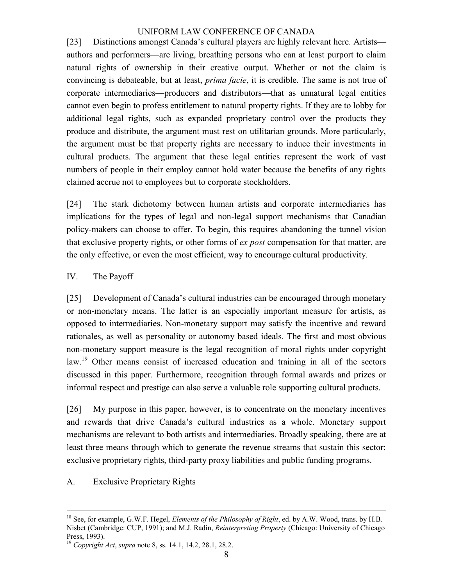[23] Distinctions amongst Canada's cultural players are highly relevant here. Artists authors and performers—are living, breathing persons who can at least purport to claim natural rights of ownership in their creative output. Whether or not the claim is convincing is debateable, but at least, *prima facie*, it is credible. The same is not true of corporate intermediaries—producers and distributors—that as unnatural legal entities cannot even begin to profess entitlement to natural property rights. If they are to lobby for additional legal rights, such as expanded proprietary control over the products they produce and distribute, the argument must rest on utilitarian grounds. More particularly, the argument must be that property rights are necessary to induce their investments in cultural products. The argument that these legal entities represent the work of vast numbers of people in their employ cannot hold water because the benefits of any rights claimed accrue not to employees but to corporate stockholders.

[24] The stark dichotomy between human artists and corporate intermediaries has implications for the types of legal and non-legal support mechanisms that Canadian policy-makers can choose to offer. To begin, this requires abandoning the tunnel vision that exclusive property rights, or other forms of *ex post* compensation for that matter, are the only effective, or even the most efficient, way to encourage cultural productivity.

## IV. The Payoff

[25] Development of Canada's cultural industries can be encouraged through monetary or non-monetary means. The latter is an especially important measure for artists, as opposed to intermediaries. Non-monetary support may satisfy the incentive and reward rationales, as well as personality or autonomy based ideals. The first and most obvious non-monetary support measure is the legal recognition of moral rights under copyright law.<sup>19</sup> Other means consist of increased education and training in all of the sectors discussed in this paper. Furthermore, recognition through formal awards and prizes or informal respect and prestige can also serve a valuable role supporting cultural products.

[26] My purpose in this paper, however, is to concentrate on the monetary incentives and rewards that drive Canada"s cultural industries as a whole. Monetary support mechanisms are relevant to both artists and intermediaries. Broadly speaking, there are at least three means through which to generate the revenue streams that sustain this sector: exclusive proprietary rights, third-party proxy liabilities and public funding programs.

## A. Exclusive Proprietary Rights

 $\overline{a}$ <sup>18</sup> See, for example, G.W.F. Hegel, *Elements of the Philosophy of Right*, ed. by A.W. Wood, trans. by H.B. Nisbet (Cambridge: CUP, 1991); and M.J. Radin, *Reinterpreting Property* (Chicago: University of Chicago Press, 1993).

<sup>19</sup> *Copyright Act*, *supra* note 8, ss. 14.1, 14.2, 28.1, 28.2.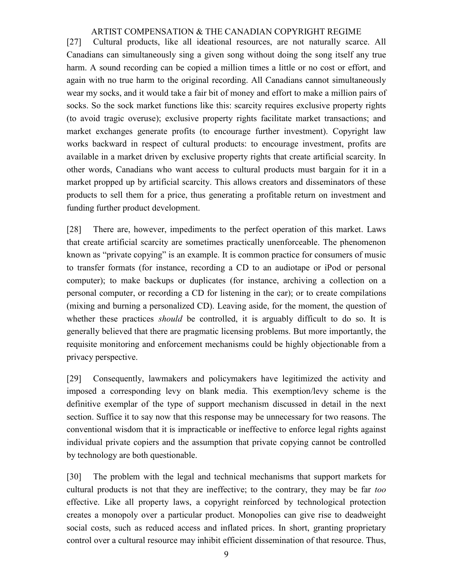[27] Cultural products, like all ideational resources, are not naturally scarce. All Canadians can simultaneously sing a given song without doing the song itself any true harm. A sound recording can be copied a million times a little or no cost or effort, and again with no true harm to the original recording. All Canadians cannot simultaneously wear my socks, and it would take a fair bit of money and effort to make a million pairs of socks. So the sock market functions like this: scarcity requires exclusive property rights (to avoid tragic overuse); exclusive property rights facilitate market transactions; and market exchanges generate profits (to encourage further investment). Copyright law works backward in respect of cultural products: to encourage investment, profits are available in a market driven by exclusive property rights that create artificial scarcity. In other words, Canadians who want access to cultural products must bargain for it in a market propped up by artificial scarcity. This allows creators and disseminators of these products to sell them for a price, thus generating a profitable return on investment and funding further product development.

[28] There are, however, impediments to the perfect operation of this market. Laws that create artificial scarcity are sometimes practically unenforceable. The phenomenon known as "private copying" is an example. It is common practice for consumers of music to transfer formats (for instance, recording a CD to an audiotape or iPod or personal computer); to make backups or duplicates (for instance, archiving a collection on a personal computer, or recording a CD for listening in the car); or to create compilations (mixing and burning a personalized CD). Leaving aside, for the moment, the question of whether these practices *should* be controlled, it is arguably difficult to do so. It is generally believed that there are pragmatic licensing problems. But more importantly, the requisite monitoring and enforcement mechanisms could be highly objectionable from a privacy perspective.

[29] Consequently, lawmakers and policymakers have legitimized the activity and imposed a corresponding levy on blank media. This exemption/levy scheme is the definitive exemplar of the type of support mechanism discussed in detail in the next section. Suffice it to say now that this response may be unnecessary for two reasons. The conventional wisdom that it is impracticable or ineffective to enforce legal rights against individual private copiers and the assumption that private copying cannot be controlled by technology are both questionable.

[30] The problem with the legal and technical mechanisms that support markets for cultural products is not that they are ineffective; to the contrary, they may be far *too*  effective. Like all property laws, a copyright reinforced by technological protection creates a monopoly over a particular product. Monopolies can give rise to deadweight social costs, such as reduced access and inflated prices. In short, granting proprietary control over a cultural resource may inhibit efficient dissemination of that resource. Thus,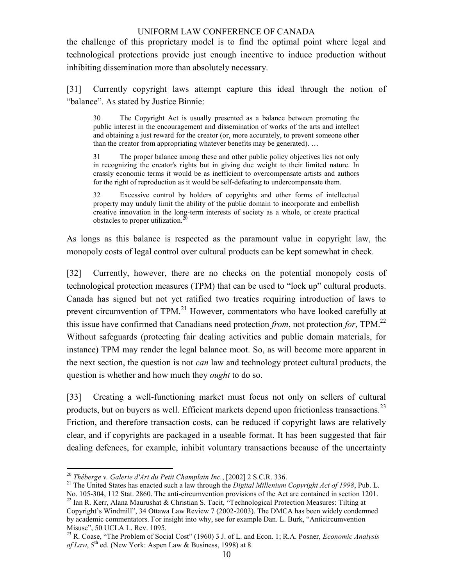the challenge of this proprietary model is to find the optimal point where legal and technological protections provide just enough incentive to induce production without inhibiting dissemination more than absolutely necessary.

[31] Currently copyright laws attempt capture this ideal through the notion of "balance". As stated by Justice Binnie:

30 The Copyright Act is usually presented as a balance between promoting the public interest in the encouragement and dissemination of works of the arts and intellect and obtaining a just reward for the creator (or, more accurately, to prevent someone other than the creator from appropriating whatever benefits may be generated). …

31 The proper balance among these and other public policy objectives lies not only in recognizing the creator's rights but in giving due weight to their limited nature. In crassly economic terms it would be as inefficient to overcompensate artists and authors for the right of reproduction as it would be self-defeating to undercompensate them.

32 Excessive control by holders of copyrights and other forms of intellectual property may unduly limit the ability of the public domain to incorporate and embellish creative innovation in the long-term interests of society as a whole, or create practical obstacles to proper utilization.<sup>20</sup>

As longs as this balance is respected as the paramount value in copyright law, the monopoly costs of legal control over cultural products can be kept somewhat in check.

[32] Currently, however, there are no checks on the potential monopoly costs of technological protection measures (TPM) that can be used to "lock up" cultural products. Canada has signed but not yet ratified two treaties requiring introduction of laws to prevent circumvention of TPM.<sup>21</sup> However, commentators who have looked carefully at this issue have confirmed that Canadians need protection *from*, not protection *for*, TPM.<sup>22</sup> Without safeguards (protecting fair dealing activities and public domain materials, for instance) TPM may render the legal balance moot. So, as will become more apparent in the next section, the question is not *can* law and technology protect cultural products, the question is whether and how much they *ought* to do so.

[33] Creating a well-functioning market must focus not only on sellers of cultural products, but on buyers as well. Efficient markets depend upon frictionless transactions.<sup>23</sup> Friction, and therefore transaction costs, can be reduced if copyright laws are relatively clear, and if copyrights are packaged in a useable format. It has been suggested that fair dealing defences, for example, inhibit voluntary transactions because of the uncertainty

<sup>20</sup> *Théberge v. Galerie d'Art du Petit Champlain Inc.*, [2002] 2 S.C.R. 336.

<sup>21</sup> The United States has enacted such a law through the *Digital Millenium Copyright Act of 1998*, Pub. L. No. 105-304, 112 Stat. 2860. The anti-circumvention provisions of the Act are contained in section 1201.

<sup>&</sup>lt;sup>22</sup> Ian R. Kerr, Alana Maurushat & Christian S. Tacit, "Technological Protection Measures: Tilting at

Copyright"s Windmill", 34 Ottawa Law Review 7 (2002-2003). The DMCA has been widely condemned by academic commentators. For insight into why, see for example Dan. L. Burk, "Anticircumvention Misuse", 50 UCLA L. Rev. 1095.

<sup>23</sup> R. Coase, "The Problem of Social Cost" (1960) 3 J. of L. and Econ. 1; R.A. Posner, *Economic Analysis of Law*, 5th ed. (New York: Aspen Law & Business, 1998) at 8.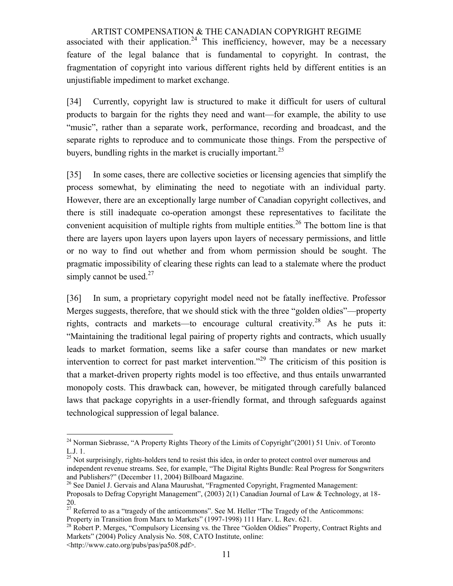ARTIST COMPENSATION & THE CANADIAN COPYRIGHT REGIME associated with their application.<sup>24</sup> This inefficiency, however, may be a necessary feature of the legal balance that is fundamental to copyright. In contrast, the fragmentation of copyright into various different rights held by different entities is an unjustifiable impediment to market exchange.

[34] Currently, copyright law is structured to make it difficult for users of cultural products to bargain for the rights they need and want—for example, the ability to use "music", rather than a separate work, performance, recording and broadcast, and the separate rights to reproduce and to communicate those things. From the perspective of buyers, bundling rights in the market is crucially important.<sup>25</sup>

[35] In some cases, there are collective societies or licensing agencies that simplify the process somewhat, by eliminating the need to negotiate with an individual party. However, there are an exceptionally large number of Canadian copyright collectives, and there is still inadequate co-operation amongst these representatives to facilitate the convenient acquisition of multiple rights from multiple entities.<sup>26</sup> The bottom line is that there are layers upon layers upon layers upon layers of necessary permissions, and little or no way to find out whether and from whom permission should be sought. The pragmatic impossibility of clearing these rights can lead to a stalemate where the product simply cannot be used. $27$ 

[36] In sum, a proprietary copyright model need not be fatally ineffective. Professor Merges suggests, therefore, that we should stick with the three "golden oldies"—property rights, contracts and markets—to encourage cultural creativity.<sup>28</sup> As he puts it: "Maintaining the traditional legal pairing of property rights and contracts, which usually leads to market formation, seems like a safer course than mandates or new market intervention to correct for past market intervention."<sup>29</sup> The criticism of this position is that a market-driven property rights model is too effective, and thus entails unwarranted monopoly costs. This drawback can, however, be mitigated through carefully balanced laws that package copyrights in a user-friendly format, and through safeguards against technological suppression of legal balance.

 $\overline{a}$ <sup>24</sup> Norman Siebrasse, "A Property Rights Theory of the Limits of Copyright"(2001) 51 Univ. of Toronto L.J. 1.

 $25$  Not surprisingly, rights-holders tend to resist this idea, in order to protect control over numerous and independent revenue streams. See, for example, "The Digital Rights Bundle: Real Progress for Songwriters and Publishers?" (December 11, 2004) Billboard Magazine.

<sup>&</sup>lt;sup>26</sup> See Daniel J. Gervais and Alana Maurushat, "Fragmented Copyright, Fragmented Management: Proposals to Defrag Copyright Management", (2003) 2(1) Canadian Journal of Law & Technology, at 18- 20.

 $27$  Referred to as a "tragedy of the anticommons". See M. Heller "The Tragedy of the Anticommons: Property in Transition from Marx to Markets" (1997-1998) 111 Harv. L. Rev. 621.

<sup>&</sup>lt;sup>28</sup> Robert P. Merges, "Compulsory Licensing vs. the Three "Golden Oldies" Property, Contract Rights and Markets" (2004) Policy Analysis No. 508, CATO Institute, online: <http://www.cato.org/pubs/pas/pa508.pdf>.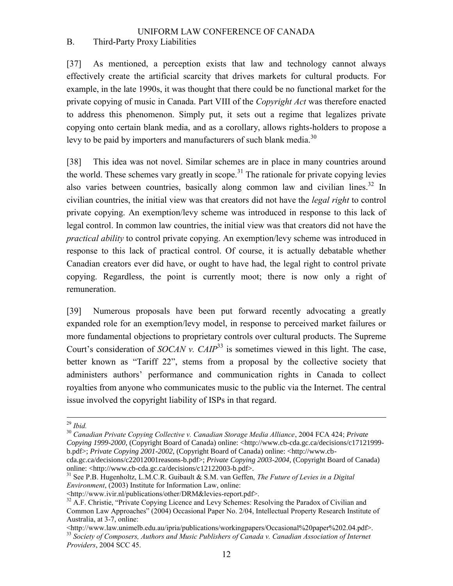## B. Third-Party Proxy Liabilities

[37] As mentioned, a perception exists that law and technology cannot always effectively create the artificial scarcity that drives markets for cultural products. For example, in the late 1990s, it was thought that there could be no functional market for the private copying of music in Canada. Part VIII of the *Copyright Act* was therefore enacted to address this phenomenon. Simply put, it sets out a regime that legalizes private copying onto certain blank media, and as a corollary, allows rights-holders to propose a levy to be paid by importers and manufacturers of such blank media. $30$ 

[38] This idea was not novel. Similar schemes are in place in many countries around the world. These schemes vary greatly in scope.<sup>31</sup> The rationale for private copying levies also varies between countries, basically along common law and civilian lines.<sup>32</sup> In civilian countries, the initial view was that creators did not have the *legal right* to control private copying. An exemption/levy scheme was introduced in response to this lack of legal control. In common law countries, the initial view was that creators did not have the *practical ability* to control private copying. An exemption/levy scheme was introduced in response to this lack of practical control. Of course, it is actually debatable whether Canadian creators ever did have, or ought to have had, the legal right to control private copying. Regardless, the point is currently moot; there is now only a right of remuneration.

[39] Numerous proposals have been put forward recently advocating a greatly expanded role for an exemption/levy model, in response to perceived market failures or more fundamental objections to proprietary controls over cultural products. The Supreme Court's consideration of *SOCAN v. CAIP*<sup>33</sup> is sometimes viewed in this light. The case, better known as "Tariff 22", stems from a proposal by the collective society that administers authors" performance and communication rights in Canada to collect royalties from anyone who communicates music to the public via the Internet. The central issue involved the copyright liability of ISPs in that regard.

<sup>30</sup> *Canadian Private Copying Collective v. Canadian Storage Media Alliance*, 2004 FCA 424; *Private Copying 1999-2000*, (Copyright Board of Canada) online: <http://www.cb-cda.gc.ca/decisions/c17121999 b.pdf>; *Private Copying 2001-2002*, (Copyright Board of Canada) online: <http://www.cb-

 $\overline{a}$ <sup>29</sup> *Ibid.*

cda.gc.ca/decisions/c22012001reasons-b.pdf>; *Private Copying 2003-2004*, (Copyright Board of Canada) online: <http://www.cb-cda.gc.ca/decisions/c12122003-b.pdf>.

<sup>31</sup> See P.B. Hugenholtz, L.M.C.R. Guibault & S.M. van Geffen, *The Future of Levies in a Digital Environment*, (2003) Institute for Information Law, online:

<sup>&</sup>lt;http://www.ivir.nl/publications/other/DRM&levies-report.pdf>.

<sup>&</sup>lt;sup>32</sup> A.F. Christie, "Private Copying Licence and Levy Schemes: Resolving the Paradox of Civilian and Common Law Approaches" (2004) Occasional Paper No. 2/04, Intellectual Property Research Institute of Australia, at 3-7, online:

<sup>&</sup>lt;http://www.law.unimelb.edu.au/ipria/publications/workingpapers/Occasional%20paper%202.04.pdf>. <sup>33</sup> *Society of Composers, Authors and Music Publishers of Canada v. Canadian Association of Internet Providers*, 2004 SCC 45.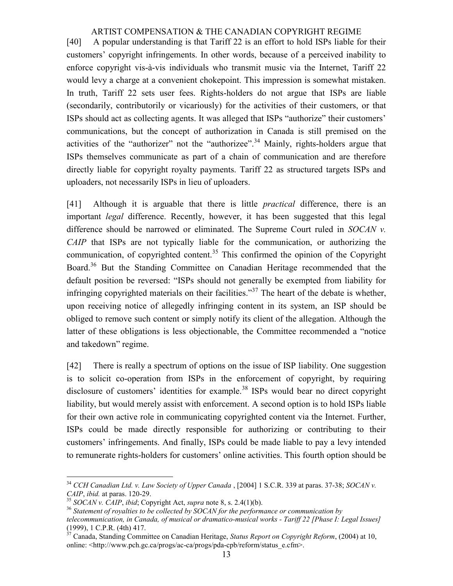[40] A popular understanding is that Tariff 22 is an effort to hold ISPs liable for their customers" copyright infringements. In other words, because of a perceived inability to enforce copyright vis-à-vis individuals who transmit music via the Internet, Tariff 22 would levy a charge at a convenient chokepoint. This impression is somewhat mistaken. In truth, Tariff 22 sets user fees. Rights-holders do not argue that ISPs are liable (secondarily, contributorily or vicariously) for the activities of their customers, or that ISPs should act as collecting agents. It was alleged that ISPs "authorize" their customers" communications, but the concept of authorization in Canada is still premised on the activities of the "authorizer" not the "authorizee".<sup>34</sup> Mainly, rights-holders argue that ISPs themselves communicate as part of a chain of communication and are therefore directly liable for copyright royalty payments. Tariff 22 as structured targets ISPs and uploaders, not necessarily ISPs in lieu of uploaders.

[41] Although it is arguable that there is little *practical* difference, there is an important *legal* difference. Recently, however, it has been suggested that this legal difference should be narrowed or eliminated. The Supreme Court ruled in *SOCAN v. CAIP* that ISPs are not typically liable for the communication, or authorizing the communication, of copyrighted content.<sup>35</sup> This confirmed the opinion of the Copyright Board.<sup>36</sup> But the Standing Committee on Canadian Heritage recommended that the default position be reversed: "ISPs should not generally be exempted from liability for infringing copyrighted materials on their facilities."<sup>37</sup> The heart of the debate is whether, upon receiving notice of allegedly infringing content in its system, an ISP should be obliged to remove such content or simply notify its client of the allegation. Although the latter of these obligations is less objectionable, the Committee recommended a "notice and takedown" regime.

[42] There is really a spectrum of options on the issue of ISP liability. One suggestion is to solicit co-operation from ISPs in the enforcement of copyright, by requiring disclosure of customers' identities for example.<sup>38</sup> ISPs would bear no direct copyright liability, but would merely assist with enforcement. A second option is to hold ISPs liable for their own active role in communicating copyrighted content via the Internet. Further, ISPs could be made directly responsible for authorizing or contributing to their customers" infringements. And finally, ISPs could be made liable to pay a levy intended to remunerate rights-holders for customers" online activities. This fourth option should be

<sup>34</sup> *CCH Canadian Ltd. v. Law Society of Upper Canada* , [2004] 1 S.C.R. 339 at paras. 37-38; *SOCAN v. CAIP*, *ibid.* at paras. 120-29.

<sup>35</sup> *SOCAN v. CAIP*, *ibid*; Copyright Act, *supra* note 8, s. 2.4(1)(b).

<sup>36</sup> *Statement of royalties to be collected by SOCAN for the performance or communication by telecommunication, in Canada, of musical or dramatico-musical works - Tariff 22 [Phase I: Legal Issues]*  (1999), 1 C.P.R. (4th) 417.

<sup>37</sup> Canada, Standing Committee on Canadian Heritage, *Status Report on Copyright Reform*, (2004) at 10, online: <http://www.pch.gc.ca/progs/ac-ca/progs/pda-cpb/reform/status\_e.cfm>.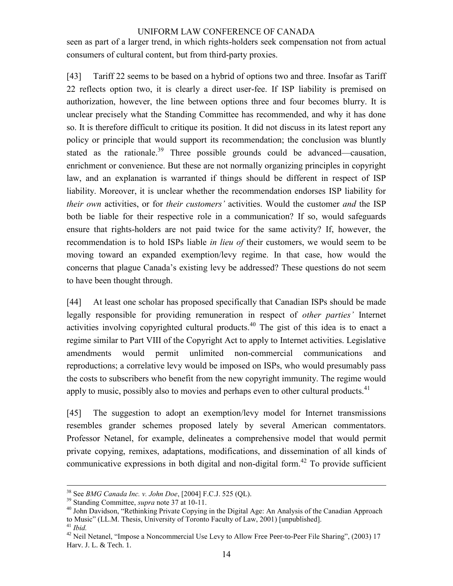seen as part of a larger trend, in which rights-holders seek compensation not from actual consumers of cultural content, but from third-party proxies.

[43] Tariff 22 seems to be based on a hybrid of options two and three. Insofar as Tariff 22 reflects option two, it is clearly a direct user-fee. If ISP liability is premised on authorization, however, the line between options three and four becomes blurry. It is unclear precisely what the Standing Committee has recommended, and why it has done so. It is therefore difficult to critique its position. It did not discuss in its latest report any policy or principle that would support its recommendation; the conclusion was bluntly stated as the rationale.<sup>39</sup> Three possible grounds could be advanced—causation, enrichment or convenience. But these are not normally organizing principles in copyright law, and an explanation is warranted if things should be different in respect of ISP liability. Moreover, it is unclear whether the recommendation endorses ISP liability for *their own* activities, or for *their customers'* activities. Would the customer *and* the ISP both be liable for their respective role in a communication? If so, would safeguards ensure that rights-holders are not paid twice for the same activity? If, however, the recommendation is to hold ISPs liable *in lieu of* their customers, we would seem to be moving toward an expanded exemption/levy regime. In that case, how would the concerns that plague Canada"s existing levy be addressed? These questions do not seem to have been thought through.

[44] At least one scholar has proposed specifically that Canadian ISPs should be made legally responsible for providing remuneration in respect of *other parties'* Internet activities involving copyrighted cultural products.<sup>40</sup> The gist of this idea is to enact a regime similar to Part VIII of the Copyright Act to apply to Internet activities. Legislative amendments would permit unlimited non-commercial communications and reproductions; a correlative levy would be imposed on ISPs, who would presumably pass the costs to subscribers who benefit from the new copyright immunity. The regime would apply to music, possibly also to movies and perhaps even to other cultural products.  $41$ 

[45] The suggestion to adopt an exemption/levy model for Internet transmissions resembles grander schemes proposed lately by several American commentators. Professor Netanel, for example, delineates a comprehensive model that would permit private copying, remixes, adaptations, modifications, and dissemination of all kinds of communicative expressions in both digital and non-digital form.<sup>42</sup> To provide sufficient

<sup>38</sup> See *BMG Canada Inc. v. John Doe*, [\[2004\] F.C.J. 525](http://ql.quicklaw.com/servlet/qlwbic.qlwbi?qlsid=C1xtgIejbgLijDWa&qlcid=00007&qlvrb=QL002&UGET=Q0552200,FCR%20) (QL).

<sup>39</sup> Standing Committee, *supra* note 37 at 10-11.

<sup>&</sup>lt;sup>40</sup> John Davidson, "Rethinking Private Copying in the Digital Age: An Analysis of the Canadian Approach to Music" (LL.M. Thesis, University of Toronto Faculty of Law, 2001) [unpublished]. <sup>41</sup> *Ibid.*

<sup>&</sup>lt;sup>42</sup> Neil Netanel, "Impose a Noncommercial Use Levy to Allow Free Peer-to-Peer File Sharing", (2003) 17 Harv. J. L. & Tech. 1.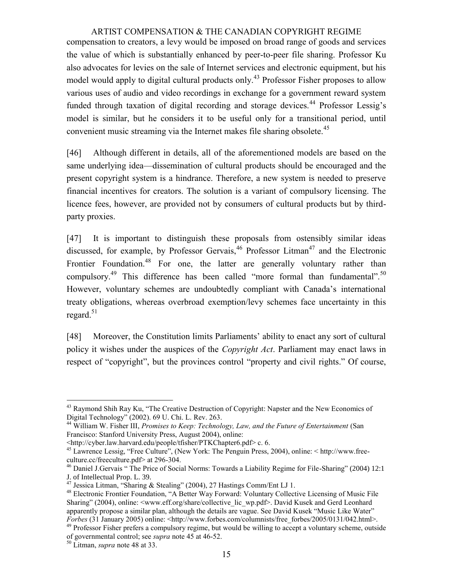compensation to creators, a levy would be imposed on broad range of goods and services the value of which is substantially enhanced by peer-to-peer file sharing. Professor Ku also advocates for levies on the sale of Internet services and electronic equipment, but his model would apply to digital cultural products only.<sup>43</sup> Professor Fisher proposes to allow various uses of audio and video recordings in exchange for a government reward system funded through taxation of digital recording and storage devices.<sup>44</sup> Professor Lessig's model is similar, but he considers it to be useful only for a transitional period, until convenient music streaming via the Internet makes file sharing obsolete.<sup>45</sup>

[46] Although different in details, all of the aforementioned models are based on the same underlying idea—dissemination of cultural products should be encouraged and the present copyright system is a hindrance. Therefore, a new system is needed to preserve financial incentives for creators. The solution is a variant of compulsory licensing. The licence fees, however, are provided not by consumers of cultural products but by thirdparty proxies.

[47] It is important to distinguish these proposals from ostensibly similar ideas discussed, for example, by Professor Gervais,  $46$  Professor Litman<sup>47</sup> and the Electronic Frontier Foundation.<sup>48</sup> For one, the latter are generally voluntary rather than compulsory.<sup>49</sup> This difference has been called "more formal than fundamental".<sup>50</sup> However, voluntary schemes are undoubtedly compliant with Canada"s international treaty obligations, whereas overbroad exemption/levy schemes face uncertainty in this regard. $51$ 

[48] Moreover, the Constitution limits Parliaments" ability to enact any sort of cultural policy it wishes under the auspices of the *Copyright Act*. Parliament may enact laws in respect of "copyright", but the provinces control "property and civil rights." Of course,

<sup>&</sup>lt;sup>43</sup> Raymond Shih Ray Ku, "The Creative Destruction of Copyright: Napster and the New Economics of Digital Technology" (2002). 69 U. Chi. L. Rev. 263.

<sup>44</sup> William W. Fisher III, *Promises to Keep: Technology, Law, and the Future of Entertainment* (San Francisco: Stanford University Press, August 2004), online:

<sup>&</sup>lt;http://cyber.law.harvard.edu/people/tfisher/PTKChapter6.pdf> c. 6.

<sup>45</sup> Lawrence Lessig, "Free Culture", (New York: The Penguin Press, 2004), online: < http://www.freeculture.cc/freeculture.pdf> at 296-304.

<sup>&</sup>lt;sup>46</sup> Daniel J.Gervais " The Price of Social Norms: Towards a Liability Regime for File-Sharing" (2004) 12:1 J. of Intellectual Prop. L. 39.

<sup>&</sup>lt;sup>47</sup> Jessica Litman, "Sharing & Stealing" (2004), 27 Hastings Comm/Ent LJ 1.

<sup>48</sup> Electronic Frontier Foundation, "A Better Way Forward: Voluntary Collective Licensing of Music File Sharing" (2004), online: <www.eff.org/share/collective lic\_wp.pdf>. David Kusek and Gerd Leonhard apparently propose a similar plan, although the details are vague. See David Kusek "Music Like Water" *Forbes* (31 January 2005) online: <http://www.forbes.com/columnists/free\_forbes/2005/0131/042.html>.

<sup>&</sup>lt;sup>49</sup> Professor Fisher prefers a compulsory regime, but would be willing to accept a voluntary scheme, outside of governmental control; see *supra* note 45 at 46-52.

<sup>50</sup> Litman, *supra* note 48 at 33.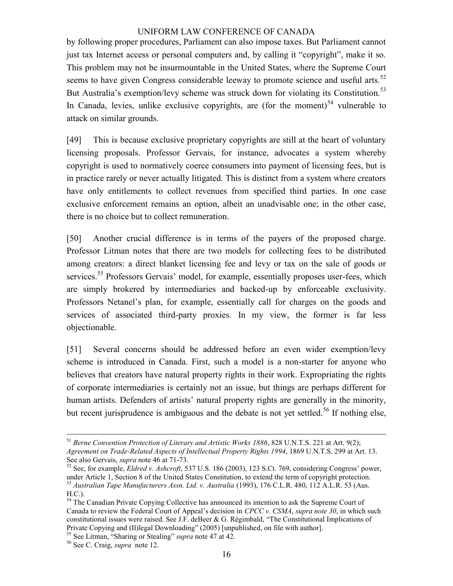by following proper procedures, Parliament can also impose taxes. But Parliament cannot just tax Internet access or personal computers and, by calling it "copyright", make it so. This problem may not be insurmountable in the United States, where the Supreme Court seems to have given Congress considerable leeway to promote science and useful arts.<sup>52</sup> But Australia's exemption/levy scheme was struck down for violating its Constitution.<sup>53</sup> In Canada, levies, unlike exclusive copyrights, are (for the moment)<sup>54</sup> vulnerable to attack on similar grounds.

[49] This is because exclusive proprietary copyrights are still at the heart of voluntary licensing proposals. Professor Gervais, for instance, advocates a system whereby copyright is used to normatively coerce consumers into payment of licensing fees, but is in practice rarely or never actually litigated. This is distinct from a system where creators have only entitlements to collect revenues from specified third parties. In one case exclusive enforcement remains an option, albeit an unadvisable one; in the other case, there is no choice but to collect remuneration.

[50] Another crucial difference is in terms of the payers of the proposed charge. Professor Litman notes that there are two models for collecting fees to be distributed among creators: a direct blanket licensing fee and levy or tax on the sale of goods or services.<sup>55</sup> Professors Gervais' model, for example, essentially proposes user-fees, which are simply brokered by intermediaries and backed-up by enforceable exclusivity. Professors Netanel"s plan, for example, essentially call for charges on the goods and services of associated third-party proxies. In my view, the former is far less objectionable.

[51] Several concerns should be addressed before an even wider exemption/levy scheme is introduced in Canada. First, such a model is a non-starter for anyone who believes that creators have natural property rights in their work. Expropriating the rights of corporate intermediaries is certainly not an issue, but things are perhaps different for human artists. Defenders of artists' natural property rights are generally in the minority, but recent jurisprudence is ambiguous and the debate is not yet settled.<sup>56</sup> If nothing else,

<sup>51</sup> *Berne Convention Protection of Literary and Artistic Works 1886*, 828 U.N.T.S. 221 at Art. 9(2); *Agreement on Trade-Related Aspects of Intellectual Property Rights 1994*, 1869 U.N.T.S. 299 at Art. 13. See also Gervais, *supra* note 46 at 71-73.

<sup>52</sup> See, for example, *Eldred v. Ashcroft*, 537 U.S. 186 (2003), 123 S.Ct. 769, considering Congress" power, under Article 1, Section 8 of the United States Constitution, to extend the term of copyright protection. <sup>53</sup> *Australian Tape Manufacturers Assn. Ltd. v. Australia* (1993), 176 C.L.R. 480, 112 A.L.R. 53 (Aus. H.C.).

<sup>&</sup>lt;sup>54</sup> The Canadian Private Copying Collective has announced its intention to ask the Supreme Court of Canada to review the Federal Court of Appeal"s decision in *CPCC v. CSMA*, *supra note 30*, in which such constitutional issues were raised. See J.F. deBeer & G. Régimbald, "The Constitutional Implications of Private Copying and (Il)legal Downloading" (2005) [unpublished, on file with author].

<sup>55</sup> See Litman, "Sharing or Stealing" *supra* note 47 at 42.

<sup>56</sup> See C. Craig, *supra* note 12.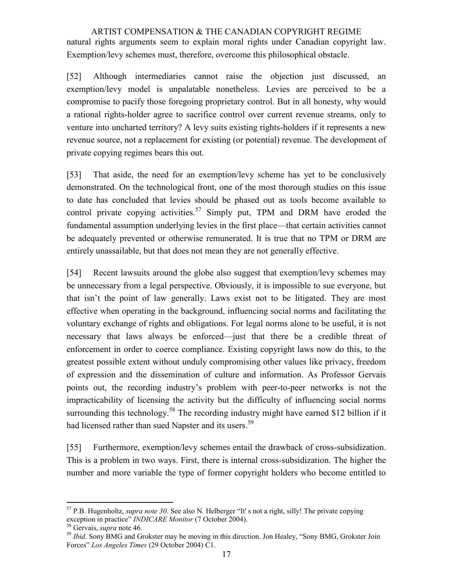ARTIST COMPENSATION & THE CANADIAN COPYRIGHT REGIME natural rights arguments seem to explain moral rights under Canadian copyright law. Exemption/levy schemes must, therefore, overcome this philosophical obstacle.

[52] Although intermediaries cannot raise the objection just discussed, an exemption/levy model is unpalatable nonetheless. Levies are perceived to be a compromise to pacify those foregoing proprietary control. But in all honesty, why would a rational rights-holder agree to sacrifice control over current revenue streams, only to venture into uncharted territory? A levy suits existing rights-holders if it represents a new revenue source, not a replacement for existing (or potential) revenue. The development of private copying regimes bears this out.

[53] That aside, the need for an exemption/levy scheme has yet to be conclusively demonstrated. On the technological front, one of the most thorough studies on this issue to date has concluded that levies should be phased out as tools become available to control private copying activities.<sup>57</sup> Simply put, TPM and DRM have eroded the fundamental assumption underlying levies in the first place—that certain activities cannot be adequately prevented or otherwise remunerated. It is true that no TPM or DRM are entirely unassailable, but that does not mean they are not generally effective.

[54] Recent lawsuits around the globe also suggest that exemption/levy schemes may be unnecessary from a legal perspective. Obviously, it is impossible to sue everyone, but that isn"t the point of law generally. Laws exist not to be litigated. They are most effective when operating in the background, influencing social norms and facilitating the voluntary exchange of rights and obligations. For legal norms alone to be useful, it is not necessary that laws always be enforced—just that there be a credible threat of enforcement in order to coerce compliance. Existing copyright laws now do this, to the greatest possible extent without unduly compromising other values like privacy, freedom of expression and the dissemination of culture and information. As Professor Gervais points out, the recording industry"s problem with peer-to-peer networks is not the impracticability of licensing the activity but the difficulty of influencing social norms surrounding this technology.<sup>58</sup> The recording industry might have earned \$12 billion if it had licensed rather than sued Napster and its users.<sup>59</sup>

[55] Furthermore, exemption/levy schemes entail the drawback of cross-subsidization. This is a problem in two ways. First, there is internal cross-subsidization. The higher the number and more variable the type of former copyright holders who become entitled to

 $\overline{a}$ <sup>57</sup> P.B. Hugenholtz, *supra note 30*. See also N. Helberger "It' s not a right, silly! The private copying exception in practice" *INDICARE Monitor* (7 October 2004).

<sup>58</sup> Gervais, *supra* note 46.

<sup>&</sup>lt;sup>59</sup> *Ibid*. Sony BMG and Grokster may be moving in this direction. Jon Healey, "Sony BMG, Grokster Join Forces" *Los Angeles Times* (29 October 2004) C1.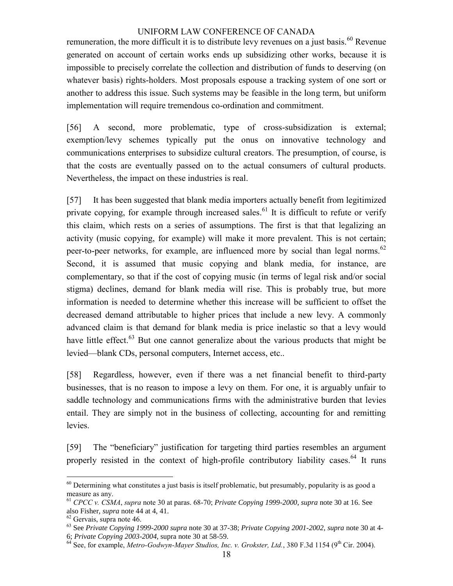remuneration, the more difficult it is to distribute levy revenues on a just basis.<sup>60</sup> Revenue generated on account of certain works ends up subsidizing other works, because it is impossible to precisely correlate the collection and distribution of funds to deserving (on whatever basis) rights-holders. Most proposals espouse a tracking system of one sort or another to address this issue. Such systems may be feasible in the long term, but uniform implementation will require tremendous co-ordination and commitment.

[56] A second, more problematic, type of cross-subsidization is external; exemption/levy schemes typically put the onus on innovative technology and communications enterprises to subsidize cultural creators. The presumption, of course, is that the costs are eventually passed on to the actual consumers of cultural products. Nevertheless, the impact on these industries is real.

[57] It has been suggested that blank media importers actually benefit from legitimized private copying, for example through increased sales.<sup>61</sup> It is difficult to refute or verify this claim, which rests on a series of assumptions. The first is that that legalizing an activity (music copying, for example) will make it more prevalent. This is not certain; peer-to-peer networks, for example, are influenced more by social than legal norms.<sup>62</sup> Second, it is assumed that music copying and blank media, for instance, are complementary, so that if the cost of copying music (in terms of legal risk and/or social stigma) declines, demand for blank media will rise. This is probably true, but more information is needed to determine whether this increase will be sufficient to offset the decreased demand attributable to higher prices that include a new levy. A commonly advanced claim is that demand for blank media is price inelastic so that a levy would have little effect.<sup>63</sup> But one cannot generalize about the various products that might be levied—blank CDs, personal computers, Internet access, etc..

[58] Regardless, however, even if there was a net financial benefit to third-party businesses, that is no reason to impose a levy on them. For one, it is arguably unfair to saddle technology and communications firms with the administrative burden that levies entail. They are simply not in the business of collecting, accounting for and remitting levies.

[59] The "beneficiary" justification for targeting third parties resembles an argument properly resisted in the context of high-profile contributory liability cases.<sup>64</sup> It runs

 $60$  Determining what constitutes a just basis is itself problematic, but presumably, popularity is as good a measure as any.

<sup>61</sup> *CPCC v. CSMA*, *supra* note 30 at paras. 68-70; *Private Copying 1999-2000*, *supra* note 30 at 16. See also Fisher, *supra* note 44 at 4, 41.

<sup>62</sup> Gervais, supra note 46.

<sup>63</sup> See *Private Copying 1999-2000 supra* note 30 at 37-38; *Private Copying 2001-2002*, *supra* note 30 at 4- 6; *Private Copying 2003-2004*, supra note 30 at 58-59.

 $64$  See, for example, *Metro-Godwyn-Mayer Studios, Inc. v. Grokster, Ltd.*, 380 F.3d 1154 (9<sup>th</sup> Cir. 2004).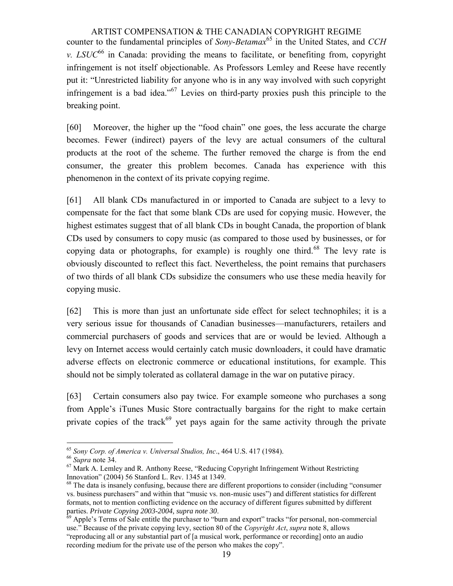ARTIST COMPENSATION & THE CANADIAN COPYRIGHT REGIME counter to the fundamental principles of *Sony-Betamax*<sup>65</sup> in the United States, and *CCH v. LSUC*<sup>66</sup> in Canada: providing the means to facilitate, or benefiting from, copyright infringement is not itself objectionable. As Professors Lemley and Reese have recently put it: "Unrestricted liability for anyone who is in any way involved with such copyright infringement is a bad idea." $67$  Levies on third-party proxies push this principle to the breaking point.

[60] Moreover, the higher up the "food chain" one goes, the less accurate the charge becomes. Fewer (indirect) payers of the levy are actual consumers of the cultural products at the root of the scheme. The further removed the charge is from the end consumer, the greater this problem becomes. Canada has experience with this phenomenon in the context of its private copying regime.

[61] All blank CDs manufactured in or imported to Canada are subject to a levy to compensate for the fact that some blank CDs are used for copying music. However, the highest estimates suggest that of all blank CDs in bought Canada, the proportion of blank CDs used by consumers to copy music (as compared to those used by businesses, or for copying data or photographs, for example) is roughly one third.<sup>68</sup> The levy rate is obviously discounted to reflect this fact. Nevertheless, the point remains that purchasers of two thirds of all blank CDs subsidize the consumers who use these media heavily for copying music.

[62] This is more than just an unfortunate side effect for select technophiles; it is a very serious issue for thousands of Canadian businesses—manufacturers, retailers and commercial purchasers of goods and services that are or would be levied. Although a levy on Internet access would certainly catch music downloaders, it could have dramatic adverse effects on electronic commerce or educational institutions, for example. This should not be simply tolerated as collateral damage in the war on putative piracy.

[63] Certain consumers also pay twice. For example someone who purchases a song from Apple"s iTunes Music Store contractually bargains for the right to make certain private copies of the track<sup>69</sup> yet pays again for the same activity through the private

<sup>65</sup> *Sony Corp. of America v. Universal Studios, Inc*., 464 U.S. 417 (1984).

<sup>66</sup> *Supra* note 34.

 $67$  Mark A. Lemley and R. Anthony Reese, "Reducing Copyright Infringement Without Restricting Innovation" (2004) 56 Stanford L. Rev. 1345 at 1349.

<sup>&</sup>lt;sup>68</sup> The data is insanely confusing, because there are different proportions to consider (including "consumer" vs. business purchasers" and within that "music vs. non-music uses") and different statistics for different formats, not to mention conflicting evidence on the accuracy of different figures submitted by different parties. *Private Copying 2003-2004*, *supra note 30*.

 $\delta^9$  Apple's Terms of Sale entitle the purchaser to "burn and export" tracks "for personal, non-commercial use." Because of the private copying levy, section 80 of the *Copyright Act*, *supra* note 8, allows "reproducing all or any substantial part of [a musical work, performance or recording] onto an audio recording medium for the private use of the person who makes the copy".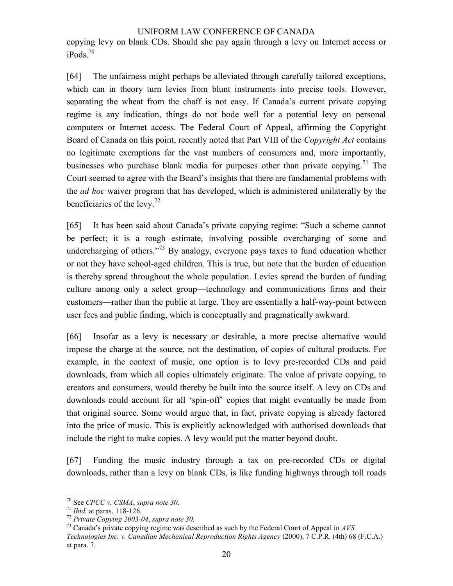copying levy on blank CDs. Should she pay again through a levy on Internet access or  $iPods.<sup>70</sup>$ 

[64] The unfairness might perhaps be alleviated through carefully tailored exceptions, which can in theory turn levies from blunt instruments into precise tools. However, separating the wheat from the chaff is not easy. If Canada"s current private copying regime is any indication, things do not bode well for a potential levy on personal computers or Internet access. The Federal Court of Appeal, affirming the Copyright Board of Canada on this point, recently noted that Part VIII of the *Copyright Act* contains no legitimate exemptions for the vast numbers of consumers and, more importantly, businesses who purchase blank media for purposes other than private copying.<sup>71</sup> The Court seemed to agree with the Board"s insights that there are fundamental problems with the *ad hoc* waiver program that has developed, which is administered unilaterally by the beneficiaries of the levy.<sup>72</sup>

[65] It has been said about Canada"s private copying regime: "Such a scheme cannot be perfect; it is a rough estimate, involving possible overcharging of some and undercharging of others."<sup>73</sup> By analogy, everyone pays taxes to fund education whether or not they have school-aged children. This is true, but note that the burden of education is thereby spread throughout the whole population. Levies spread the burden of funding culture among only a select group—technology and communications firms and their customers—rather than the public at large. They are essentially a half-way-point between user fees and public finding, which is conceptually and pragmatically awkward.

[66] Insofar as a levy is necessary or desirable, a more precise alternative would impose the charge at the source, not the destination, of copies of cultural products. For example, in the context of music, one option is to levy pre-recorded CDs and paid downloads, from which all copies ultimately originate. The value of private copying, to creators and consumers, would thereby be built into the source itself. A levy on CDs and downloads could account for all "spin-off" copies that might eventually be made from that original source. Some would argue that, in fact, private copying is already factored into the price of music. This is explicitly acknowledged with authorised downloads that include the right to make copies. A levy would put the matter beyond doubt.

[67] Funding the music industry through a tax on pre-recorded CDs or digital downloads, rather than a levy on blank CDs, is like funding highways through toll roads

 $\overline{a}$ <sup>70</sup> See *CPCC v. CSMA*, *supra note 30*.

<sup>71</sup> *Ibid.* at paras. 118-126.

<sup>72</sup> *Private Copying 2003-04*, *supra note 30*.

<sup>73</sup> Canada"s private copying regime was described as such by the Federal Court of Appeal in *AVS* 

*Technologies Inc. v. Canadian Mechanical Reproduction Rights Agency* (2000), 7 C.P.R. (4th) 68 (F.C.A.) at para. 7.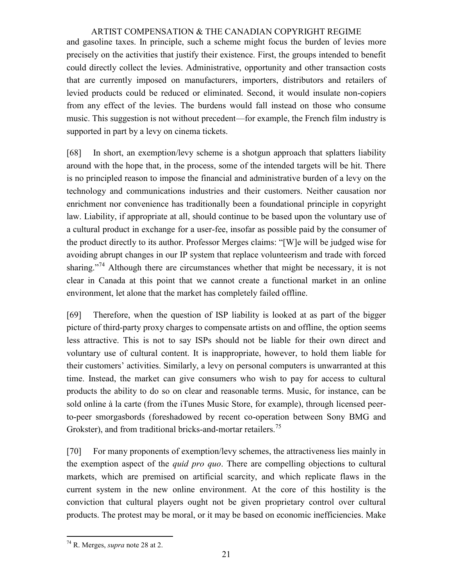and gasoline taxes. In principle, such a scheme might focus the burden of levies more precisely on the activities that justify their existence. First, the groups intended to benefit could directly collect the levies. Administrative, opportunity and other transaction costs that are currently imposed on manufacturers, importers, distributors and retailers of levied products could be reduced or eliminated. Second, it would insulate non-copiers from any effect of the levies. The burdens would fall instead on those who consume music. This suggestion is not without precedent—for example, the French film industry is supported in part by a levy on cinema tickets.

[68] In short, an exemption/levy scheme is a shotgun approach that splatters liability around with the hope that, in the process, some of the intended targets will be hit. There is no principled reason to impose the financial and administrative burden of a levy on the technology and communications industries and their customers. Neither causation nor enrichment nor convenience has traditionally been a foundational principle in copyright law. Liability, if appropriate at all, should continue to be based upon the voluntary use of a cultural product in exchange for a user-fee, insofar as possible paid by the consumer of the product directly to its author. Professor Merges claims: "[W]e will be judged wise for avoiding abrupt changes in our IP system that replace volunteerism and trade with forced sharing."<sup>74</sup> Although there are circumstances whether that might be necessary, it is not clear in Canada at this point that we cannot create a functional market in an online environment, let alone that the market has completely failed offline.

[69] Therefore, when the question of ISP liability is looked at as part of the bigger picture of third-party proxy charges to compensate artists on and offline, the option seems less attractive. This is not to say ISPs should not be liable for their own direct and voluntary use of cultural content. It is inappropriate, however, to hold them liable for their customers" activities. Similarly, a levy on personal computers is unwarranted at this time. Instead, the market can give consumers who wish to pay for access to cultural products the ability to do so on clear and reasonable terms. Music, for instance, can be sold online à la carte (from the iTunes Music Store, for example), through licensed peerto-peer smorgasbords (foreshadowed by recent co-operation between Sony BMG and Grokster), and from traditional bricks-and-mortar retailers.<sup>75</sup>

[70] For many proponents of exemption/levy schemes, the attractiveness lies mainly in the exemption aspect of the *quid pro quo*. There are compelling objections to cultural markets, which are premised on artificial scarcity, and which replicate flaws in the current system in the new online environment. At the core of this hostility is the conviction that cultural players ought not be given proprietary control over cultural products. The protest may be moral, or it may be based on economic inefficiencies. Make

 $\overline{a}$ <sup>74</sup> R. Merges, *supra* note 28 at 2.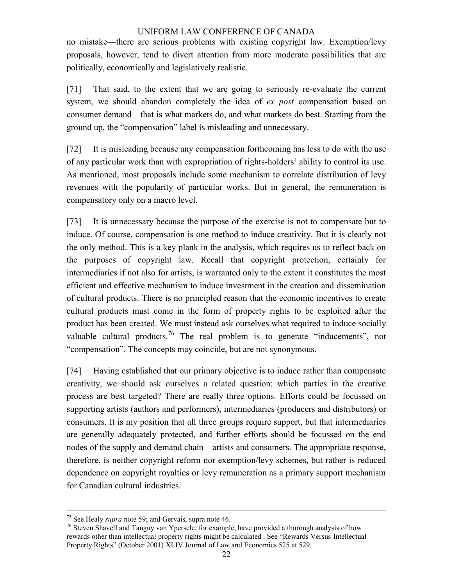no mistake—there are serious problems with existing copyright law. Exemption/levy proposals, however, tend to divert attention from more moderate possibilities that are politically, economically and legislatively realistic.

[71] That said, to the extent that we are going to seriously re-evaluate the current system, we should abandon completely the idea of *ex post* compensation based on consumer demand—that is what markets do, and what markets do best. Starting from the ground up, the "compensation" label is misleading and unnecessary.

[72] It is misleading because any compensation forthcoming has less to do with the use of any particular work than with expropriation of rights-holders" ability to control its use. As mentioned, most proposals include some mechanism to correlate distribution of levy revenues with the popularity of particular works. But in general, the remuneration is compensatory only on a macro level.

[73] It is unnecessary because the purpose of the exercise is not to compensate but to induce. Of course, compensation is one method to induce creativity. But it is clearly not the only method. This is a key plank in the analysis, which requires us to reflect back on the purposes of copyright law. Recall that copyright protection, certainly for intermediaries if not also for artists, is warranted only to the extent it constitutes the most efficient and effective mechanism to induce investment in the creation and dissemination of cultural products. There is no principled reason that the economic incentives to create cultural products must come in the form of property rights to be exploited after the product has been created. We must instead ask ourselves what required to induce socially valuable cultural products.<sup>76</sup> The real problem is to generate "inducements", not "compensation". The concepts may coincide, but are not synonymous.

[74] Having established that our primary objective is to induce rather than compensate creativity, we should ask ourselves a related question: which parties in the creative process are best targeted? There are really three options. Efforts could be focussed on supporting artists (authors and performers), intermediaries (producers and distributors) or consumers. It is my position that all three groups require support, but that intermediaries are generally adequately protected, and further efforts should be focussed on the end nodes of the supply and demand chain—artists and consumers. The appropriate response, therefore, is neither copyright reform nor exemption/levy schemes, but rather is reduced dependence on copyright royalties or levy remuneration as a primary support mechanism for Canadian cultural industries.

<sup>75</sup> See Healy *supra* note 59; and Gervais, supra note 46.

<sup>76</sup> Steven Shavell and Tanguy van Ypersele, for example, have provided a thorough analysis of how rewards other than intellectual property rights might be calculated . See "Rewards Versus Intellectual Property Rights" (October 2001) XLIV Journal of Law and Economics 525 at 529.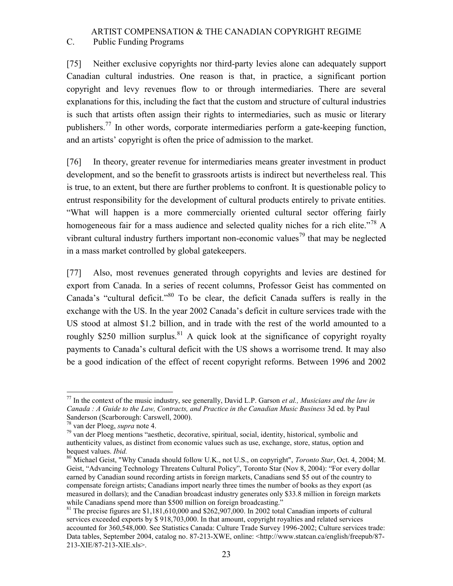## C. Public Funding Programs

[75] Neither exclusive copyrights nor third-party levies alone can adequately support Canadian cultural industries. One reason is that, in practice, a significant portion copyright and levy revenues flow to or through intermediaries. There are several explanations for this, including the fact that the custom and structure of cultural industries is such that artists often assign their rights to intermediaries, such as music or literary publishers.<sup>77</sup> In other words, corporate intermediaries perform a gate-keeping function, and an artists" copyright is often the price of admission to the market.

[76] In theory, greater revenue for intermediaries means greater investment in product development, and so the benefit to grassroots artists is indirect but nevertheless real. This is true, to an extent, but there are further problems to confront. It is questionable policy to entrust responsibility for the development of cultural products entirely to private entities. "What will happen is a more commercially oriented cultural sector offering fairly homogeneous fair for a mass audience and selected quality niches for a rich elite."<sup>78</sup> A vibrant cultural industry furthers important non-economic values<sup>79</sup> that may be neglected in a mass market controlled by global gatekeepers.

[77] Also, most revenues generated through copyrights and levies are destined for export from Canada. In a series of recent columns, Professor Geist has commented on Canada"s "cultural deficit."<sup>80</sup> To be clear, the deficit Canada suffers is really in the exchange with the US. In the year 2002 Canada"s deficit in culture services trade with the US stood at almost \$1.2 billion, and in trade with the rest of the world amounted to a roughly \$250 million surplus.<sup>81</sup> A quick look at the significance of copyright royalty payments to Canada"s cultural deficit with the US shows a worrisome trend. It may also be a good indication of the effect of recent copyright reforms. Between 1996 and 2002

<sup>77</sup> In the context of the music industry, see generally, David L.P. Garson *et al., Musicians and the law in Canada : A Guide to the Law, Contracts, and Practice in the Canadian Music Business* 3d ed. by Paul Sanderson (Scarborough: Carswell, 2000).

<sup>78</sup> van der Ploeg, *supra* note 4.

 $79$  van der Ploeg mentions "aesthetic, decorative, spiritual, social, identity, historical, symbolic and authenticity values, as distinct from economic values such as use, exchange, store, status, option and bequest values. *Ibid.*

<sup>80</sup> Michael Geist, "Why Canada should follow U.K., not U.S., on copyright", *Toronto Star*, Oct. 4, 2004; M. Geist, "Advancing Technology Threatens Cultural Policy", Toronto Star (Nov 8, 2004): "For every dollar earned by Canadian sound recording artists in foreign markets, Canadians send \$5 out of the country to compensate foreign artists; Canadians import nearly three times the number of books as they export (as measured in dollars); and the Canadian broadcast industry generates only \$33.8 million in foreign markets while Canadians spend more than \$500 million on foreign broadcasting."

<sup>&</sup>lt;sup>81</sup> The precise figures are  $$1,181,610,000$  and  $$262,907,000$ . In 2002 total Canadian imports of cultural services exceeded exports by \$ 918,703,000. In that amount, copyright royalties and related services accounted for 360,548,000. See Statistics Canada: Culture Trade Survey 1996-2002; Culture services trade: Data tables, September 2004, catalog no. 87-213-XWE, online: <http://www.statcan.ca/english/freepub/87- 213-XIE/87-213-XIE.xls>.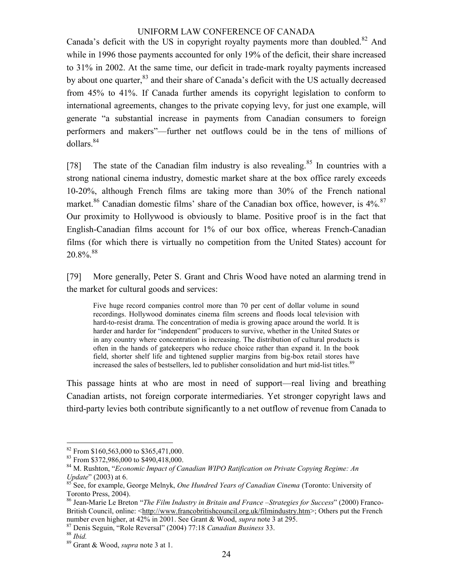Canada's deficit with the US in copyright royalty payments more than doubled.<sup>82</sup> And while in 1996 those payments accounted for only 19% of the deficit, their share increased to 31% in 2002. At the same time, our deficit in trade-mark royalty payments increased by about one quarter, <sup>83</sup> and their share of Canada's deficit with the US actually decreased from 45% to 41%. If Canada further amends its copyright legislation to conform to international agreements, changes to the private copying levy, for just one example, will generate "a substantial increase in payments from Canadian consumers to foreign performers and makers"—further net outflows could be in the tens of millions of dollars.<sup>84</sup>

[78] The state of the Canadian film industry is also revealing.<sup>85</sup> In countries with a strong national cinema industry, domestic market share at the box office rarely exceeds 10-20%, although French films are taking more than 30% of the French national market.<sup>86</sup> Canadian domestic films' share of the Canadian box office, however, is  $4\%$ .<sup>87</sup> Our proximity to Hollywood is obviously to blame. Positive proof is in the fact that English-Canadian films account for 1% of our box office, whereas French-Canadian films (for which there is virtually no competition from the United States) account for 20.8%. 88

[79] More generally, Peter S. Grant and Chris Wood have noted an alarming trend in the market for cultural goods and services:

Five huge record companies control more than 70 per cent of dollar volume in sound recordings. Hollywood dominates cinema film screens and floods local television with hard-to-resist drama. The concentration of media is growing apace around the world. It is harder and harder for "independent" producers to survive, whether in the United States or in any country where concentration is increasing. The distribution of cultural products is often in the hands of gatekeepers who reduce choice rather than expand it. In the book field, shorter shelf life and tightened supplier margins from big-box retail stores have increased the sales of bestsellers, led to publisher consolidation and hurt mid-list titles.<sup>89</sup>

This passage hints at who are most in need of support—real living and breathing Canadian artists, not foreign corporate intermediaries. Yet stronger copyright laws and third-party levies both contribute significantly to a net outflow of revenue from Canada to

<sup>87</sup> Denis Seguin, "Role Reversal" (2004) 77:18 *Canadian Business* 33.

<sup>82</sup> From \$160,563,000 to \$365,471,000.

<sup>83</sup> From \$372,986,000 to \$490,418,000.

<sup>84</sup> M. Rushton, "*Economic Impact of Canadian WIPO Ratification on Private Copying Regime: An Update*" (2003) at 6.

<sup>85</sup> See, for example, George Melnyk, *One Hundred Years of Canadian Cinema* (Toronto: University of Toronto Press, 2004).

<sup>86</sup> Jean-Marie Le Breton "*The Film Industry in Britain and France –Strategies for Success*" (2000) Franco-British Council, online: [<http://www.francobritishcouncil.org.uk/filmindustry.htm>](http://www.francobritishcouncil.org.uk/filmindustry.htm); Others put the French number even higher, at 42% in 2001. See Grant & Wood, *supra* note 3 at 295.

<sup>88</sup> *Ibid.*

<sup>89</sup> Grant & Wood, *supra* note 3 at 1.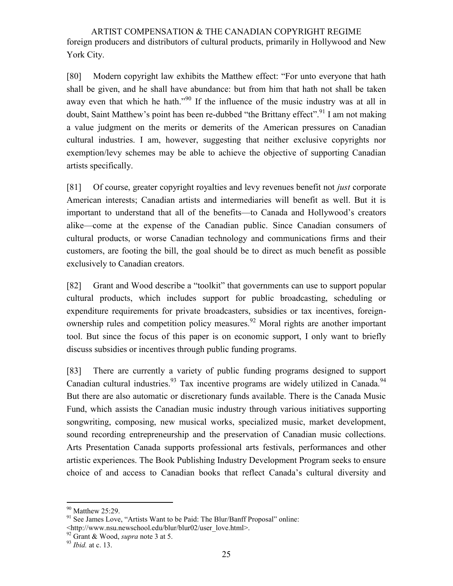ARTIST COMPENSATION & THE CANADIAN COPYRIGHT REGIME foreign producers and distributors of cultural products, primarily in Hollywood and New York City.

[80] Modern copyright law exhibits the Matthew effect: "For unto everyone that hath shall be given, and he shall have abundance: but from him that hath not shall be taken away even that which he hath."<sup>90</sup> If the influence of the music industry was at all in doubt, Saint Matthew's point has been re-dubbed "the Brittany effect".<sup>91</sup> I am not making a value judgment on the merits or demerits of the American pressures on Canadian cultural industries. I am, however, suggesting that neither exclusive copyrights nor exemption/levy schemes may be able to achieve the objective of supporting Canadian artists specifically.

[81] Of course, greater copyright royalties and levy revenues benefit not *just* corporate American interests; Canadian artists and intermediaries will benefit as well. But it is important to understand that all of the benefits—to Canada and Hollywood"s creators alike—come at the expense of the Canadian public. Since Canadian consumers of cultural products, or worse Canadian technology and communications firms and their customers, are footing the bill, the goal should be to direct as much benefit as possible exclusively to Canadian creators.

[82] Grant and Wood describe a "toolkit" that governments can use to support popular cultural products, which includes support for public broadcasting, scheduling or expenditure requirements for private broadcasters, subsidies or tax incentives, foreignownership rules and competition policy measures.<sup>92</sup> Moral rights are another important tool. But since the focus of this paper is on economic support, I only want to briefly discuss subsidies or incentives through public funding programs.

[83] There are currently a variety of public funding programs designed to support Canadian cultural industries.<sup>93</sup> Tax incentive programs are widely utilized in Canada.<sup>94</sup> But there are also automatic or discretionary funds available. There is the Canada Music Fund, which assists the Canadian music industry through various initiatives supporting songwriting, composing, new musical works, specialized music, market development, sound recording entrepreneurship and the preservation of Canadian music collections. Arts Presentation Canada supports professional arts festivals, performances and other artistic experiences. The Book Publishing Industry Development Program seeks to ensure choice of and access to Canadian books that reflect Canada"s cultural diversity and

<sup>&</sup>lt;sup>90</sup> Matthew 25:29.

<sup>&</sup>lt;sup>91</sup> See James Love, "Artists Want to be Paid: The Blur/Banff Proposal" online:

<sup>&</sup>lt;http://www.nsu.newschool.edu/blur/blur02/user\_love.html>.

<sup>92</sup> Grant & Wood, *supra* note 3 at 5.

<sup>93</sup> *Ibid.* at c. 13.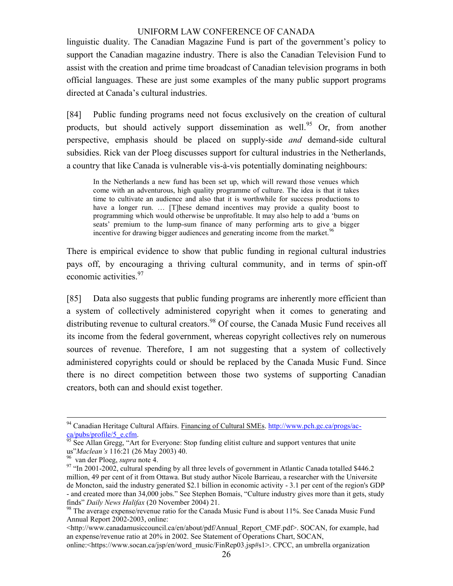linguistic duality. The Canadian Magazine Fund is part of the government's policy to support the Canadian magazine industry. There is also the Canadian Television Fund to assist with the creation and prime time broadcast of Canadian television programs in both official languages. These are just some examples of the many public support programs directed at Canada"s cultural industries.

[84] Public funding programs need not focus exclusively on the creation of cultural products, but should actively support dissemination as well.<sup>95</sup> Or, from another perspective, emphasis should be placed on supply-side *and* demand-side cultural subsidies. Rick van der Ploeg discusses support for cultural industries in the Netherlands, a country that like Canada is vulnerable vis-à-vis potentially dominating neighbours:

In the Netherlands a new fund has been set up, which will reward those venues which come with an adventurous, high quality programme of culture. The idea is that it takes time to cultivate an audience and also that it is worthwhile for success productions to have a longer run. ... [T]hese demand incentives may provide a quality boost to programming which would otherwise be unprofitable. It may also help to add a "bums on seats" premium to the lump-sum finance of many performing arts to give a bigger incentive for drawing bigger audiences and generating income from the market.<sup>96</sup>

There is empirical evidence to show that public funding in regional cultural industries pays off, by encouraging a thriving cultural community, and in terms of spin-off economic activities.<sup>97</sup>

[85] Data also suggests that public funding programs are inherently more efficient than a system of collectively administered copyright when it comes to generating and distributing revenue to cultural creators.<sup>98</sup> Of course, the Canada Music Fund receives all its income from the federal government, whereas copyright collectives rely on numerous sources of revenue. Therefore, I am not suggesting that a system of collectively administered copyrights could or should be replaced by the Canada Music Fund. Since there is no direct competition between those two systems of supporting Canadian creators, both can and should exist together.

 $\overline{a}$ 

online:<https://www.socan.ca/jsp/en/word\_music/FinRep03.jsp#s1>. CPCC, an umbrella organization

<sup>&</sup>lt;sup>94</sup> Canadian Heritage Cultural Affairs. Financing of Cultural SMEs. [http://www.pch.gc.ca/progs/ac](http://www.pch.gc.ca/progs/ac-ca/pubs/profile/5_e.cfm)ca/pubs/profile/5 e.cfm.

 $95$  See Allan Gregg, "Art for Everyone: Stop funding elitist culture and support ventures that unite us"*Maclean's* 116:21 (26 May 2003) 40.

<sup>96</sup> van der Ploeg, *supra* note 4.

<sup>&</sup>lt;sup>97</sup> "In 2001-2002, cultural spending by all three levels of government in Atlantic Canada totalled \$446.2 million, 49 per cent of it from Ottawa. But study author Nicole Barrieau, a researcher with the Universite de Moncton, said the industry generated \$2.1 billion in economic activity - 3.1 per cent of the region's GDP - and created more than 34,000 jobs." See Stephen Bomais, "Culture industry gives more than it gets, study finds" *Daily News Halifax* (20 November 2004) 21.

<sup>&</sup>lt;sup>98</sup> The average expense/revenue ratio for the Canada Music Fund is about 11%. See Canada Music Fund Annual Report 2002-2003, online:

<sup>&</sup>lt;http://www.canadamusiccouncil.ca/en/about/pdf/Annual\_Report\_CMF.pdf>. SOCAN, for example, had an expense/revenue ratio at 20% in 2002. See Statement of Operations Chart, SOCAN,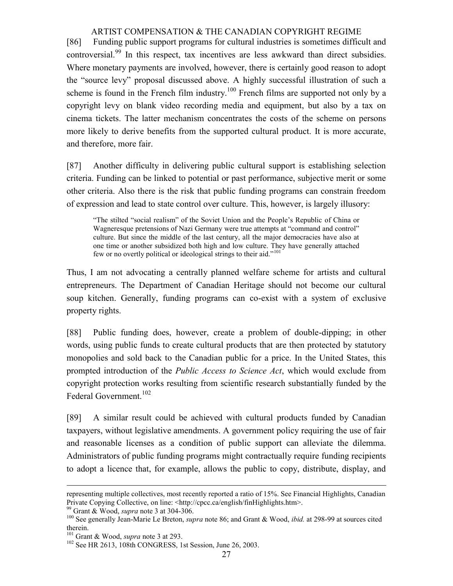[86] Funding public support programs for cultural industries is sometimes difficult and controversial.<sup>99</sup> In this respect, tax incentives are less awkward than direct subsidies. Where monetary payments are involved, however, there is certainly good reason to adopt the "source levy" proposal discussed above. A highly successful illustration of such a scheme is found in the French film industry.<sup>100</sup> French films are supported not only by a copyright levy on blank video recording media and equipment, but also by a tax on cinema tickets. The latter mechanism concentrates the costs of the scheme on persons more likely to derive benefits from the supported cultural product. It is more accurate, and therefore, more fair.

[87] Another difficulty in delivering public cultural support is establishing selection criteria. Funding can be linked to potential or past performance, subjective merit or some other criteria. Also there is the risk that public funding programs can constrain freedom of expression and lead to state control over culture. This, however, is largely illusory:

"The stilted "social realism" of the Soviet Union and the People"s Republic of China or Wagneresque pretensions of Nazi Germany were true attempts at "command and control" culture. But since the middle of the last century, all the major democracies have also at one time or another subsidized both high and low culture. They have generally attached few or no overtly political or ideological strings to their aid."<sup>101</sup>

Thus, I am not advocating a centrally planned welfare scheme for artists and cultural entrepreneurs. The Department of Canadian Heritage should not become our cultural soup kitchen. Generally, funding programs can co-exist with a system of exclusive property rights.

[88] Public funding does, however, create a problem of double-dipping; in other words, using public funds to create cultural products that are then protected by statutory monopolies and sold back to the Canadian public for a price. In the United States, this prompted introduction of the *Public Access to Science Act*, which would exclude from copyright protection works resulting from scientific research substantially funded by the Federal Government.<sup>102</sup>

[89] A similar result could be achieved with cultural products funded by Canadian taxpayers, without legislative amendments. A government policy requiring the use of fair and reasonable licenses as a condition of public support can alleviate the dilemma. Administrators of public funding programs might contractually require funding recipients to adopt a licence that, for example, allows the public to copy, distribute, display, and

<sup>99</sup> Grant & Wood, *supra* note 3 at 304-306.

representing multiple collectives, most recently reported a ratio of 15%. See Financial Highlights, Canadian Private Copying Collective, on line: <http://cpcc.ca/english/finHighlights.htm>.

<sup>100</sup> See generally Jean-Marie Le Breton, *supra* note 86; and Grant & Wood, *ibid.* at 298-99 at sources cited therein.

<sup>101</sup> Grant & Wood, *supra* note 3 at 293.

<sup>102</sup> See HR 2613, 108th CONGRESS, 1st Session, June 26, 2003.